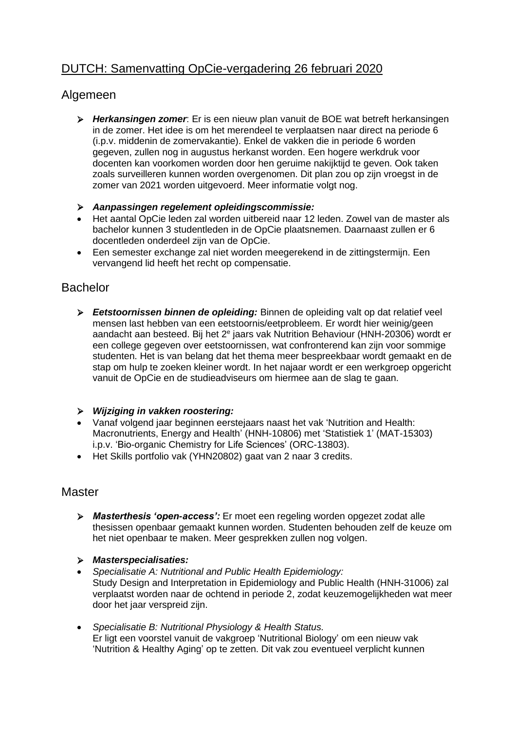# DUTCH: Samenvatting OpCie-vergadering 26 februari 2020

## Algemeen

- ➢ *Herkansingen zomer*: Er is een nieuw plan vanuit de BOE wat betreft herkansingen in de zomer. Het idee is om het merendeel te verplaatsen naar direct na periode 6 (i.p.v. middenin de zomervakantie). Enkel de vakken die in periode 6 worden gegeven, zullen nog in augustus herkanst worden. Een hogere werkdruk voor docenten kan voorkomen worden door hen geruime nakijktijd te geven. Ook taken zoals surveilleren kunnen worden overgenomen. Dit plan zou op zijn vroegst in de zomer van 2021 worden uitgevoerd. Meer informatie volgt nog.
- ➢ *Aanpassingen regelement opleidingscommissie:*
- Het aantal OpCie leden zal worden uitbereid naar 12 leden. Zowel van de master als bachelor kunnen 3 studentleden in de OpCie plaatsnemen. Daarnaast zullen er 6 docentleden onderdeel zijn van de OpCie.
- Een semester exchange zal niet worden meegerekend in de zittingstermijn. Een vervangend lid heeft het recht op compensatie.

## Bachelor

➢ *Eetstoornissen binnen de opleiding:* Binnen de opleiding valt op dat relatief veel mensen last hebben van een eetstoornis/eetprobleem. Er wordt hier weinig/geen aandacht aan besteed. Bij het 2<sup>e</sup> jaars vak Nutrition Behaviour (HNH-20306) wordt er een college gegeven over eetstoornissen, wat confronterend kan zijn voor sommige studenten. Het is van belang dat het thema meer bespreekbaar wordt gemaakt en de stap om hulp te zoeken kleiner wordt. In het najaar wordt er een werkgroep opgericht vanuit de OpCie en de studieadviseurs om hiermee aan de slag te gaan.

#### ➢ *Wijziging in vakken roostering:*

- Vanaf volgend jaar beginnen eerstejaars naast het vak 'Nutrition and Health: Macronutrients, Energy and Health' (HNH-10806) met 'Statistiek 1' (MAT-15303) i.p.v. 'Bio-organic Chemistry for Life Sciences' (ORC-13803).
- Het Skills portfolio vak (YHN20802) gaat van 2 naar 3 credits.

## **Master**

- ➢ *Masterthesis 'open-access':* Er moet een regeling worden opgezet zodat alle thesissen openbaar gemaakt kunnen worden. Studenten behouden zelf de keuze om het niet openbaar te maken. Meer gesprekken zullen nog volgen.
- ➢ *Masterspecialisaties:*
- *Specialisatie A: Nutritional and Public Health Epidemiology:*  Study Design and Interpretation in Epidemiology and Public Health (HNH-31006) zal verplaatst worden naar de ochtend in periode 2, zodat keuzemogelijkheden wat meer door het jaar verspreid zijn.
- *Specialisatie B: Nutritional Physiology & Health Status.* Er ligt een voorstel vanuit de vakgroep 'Nutritional Biology' om een nieuw vak 'Nutrition & Healthy Aging' op te zetten. Dit vak zou eventueel verplicht kunnen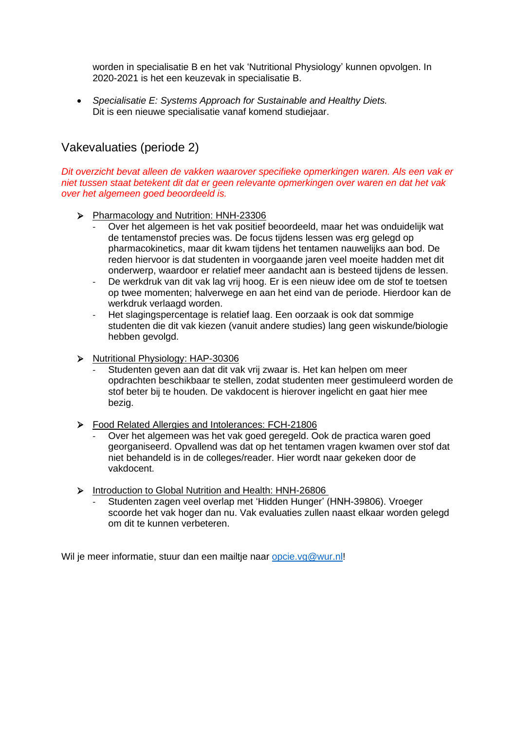worden in specialisatie B en het vak 'Nutritional Physiology' kunnen opvolgen. In 2020-2021 is het een keuzevak in specialisatie B.

• *Specialisatie E: Systems Approach for Sustainable and Healthy Diets.* Dit is een nieuwe specialisatie vanaf komend studiejaar.

## Vakevaluaties (periode 2)

*Dit overzicht bevat alleen de vakken waarover specifieke opmerkingen waren. Als een vak er niet tussen staat betekent dit dat er geen relevante opmerkingen over waren en dat het vak over het algemeen goed beoordeeld is.*

- ➢ Pharmacology and Nutrition: HNH-23306
	- Over het algemeen is het vak positief beoordeeld, maar het was onduidelijk wat de tentamenstof precies was. De focus tijdens lessen was erg gelegd op pharmacokinetics, maar dit kwam tijdens het tentamen nauwelijks aan bod. De reden hiervoor is dat studenten in voorgaande jaren veel moeite hadden met dit onderwerp, waardoor er relatief meer aandacht aan is besteed tijdens de lessen.
	- De werkdruk van dit vak lag vrij hoog. Er is een nieuw idee om de stof te toetsen op twee momenten; halverwege en aan het eind van de periode. Hierdoor kan de werkdruk verlaagd worden.
	- Het slagingspercentage is relatief laag. Een oorzaak is ook dat sommige studenten die dit vak kiezen (vanuit andere studies) lang geen wiskunde/biologie hebben gevolgd.
- ➢ Nutritional Physiology: HAP-30306
	- Studenten geven aan dat dit vak vrij zwaar is. Het kan helpen om meer opdrachten beschikbaar te stellen, zodat studenten meer gestimuleerd worden de stof beter bij te houden. De vakdocent is hierover ingelicht en gaat hier mee bezig.
- ➢ Food Related Allergies and Intolerances: FCH-21806
	- Over het algemeen was het vak goed geregeld. Ook de practica waren goed georganiseerd. Opvallend was dat op het tentamen vragen kwamen over stof dat niet behandeld is in de colleges/reader. Hier wordt naar gekeken door de vakdocent.
- ➢ Introduction to Global Nutrition and Health: HNH-26806
	- Studenten zagen veel overlap met 'Hidden Hunger' (HNH-39806). Vroeger scoorde het vak hoger dan nu. Vak evaluaties zullen naast elkaar worden gelegd om dit te kunnen verbeteren.

Wil je meer informatie, stuur dan een mailtie naar [opcie.vg@wur.nl!](mailto:opcie.vg@wur.nl)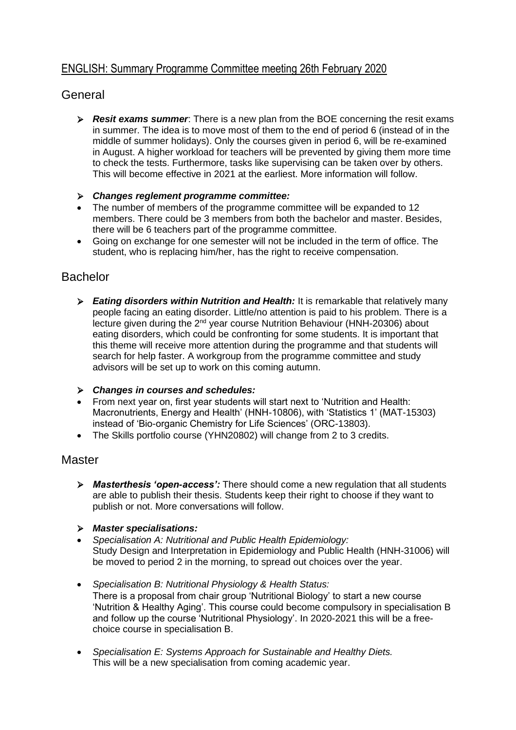## ENGLISH: Summary Programme Committee meeting 26th February 2020

## General

- ➢ *Resit exams summer*: There is a new plan from the BOE concerning the resit exams in summer. The idea is to move most of them to the end of period 6 (instead of in the middle of summer holidays). Only the courses given in period 6, will be re-examined in August. A higher workload for teachers will be prevented by giving them more time to check the tests. Furthermore, tasks like supervising can be taken over by others. This will become effective in 2021 at the earliest. More information will follow.
- ➢ *Changes reglement programme committee:*
- The number of members of the programme committee will be expanded to 12 members. There could be 3 members from both the bachelor and master. Besides, there will be 6 teachers part of the programme committee.
- Going on exchange for one semester will not be included in the term of office. The student, who is replacing him/her, has the right to receive compensation.

## Bachelor

- ➢ *Eating disorders within Nutrition and Health:* It is remarkable that relatively many people facing an eating disorder. Little/no attention is paid to his problem. There is a lecture given during the 2nd year course Nutrition Behaviour (HNH-20306) about eating disorders, which could be confronting for some students. It is important that this theme will receive more attention during the programme and that students will search for help faster. A workgroup from the programme committee and study advisors will be set up to work on this coming autumn.
- ➢ *Changes in courses and schedules:*
- From next year on, first year students will start next to 'Nutrition and Health: Macronutrients, Energy and Health' (HNH-10806), with 'Statistics 1' (MAT-15303) instead of 'Bio-organic Chemistry for Life Sciences' (ORC-13803).
- The Skills portfolio course (YHN20802) will change from 2 to 3 credits.

## **Master**

- ➢ *Masterthesis 'open-access':* There should come a new regulation that all students are able to publish their thesis. Students keep their right to choose if they want to publish or not. More conversations will follow.
- ➢ *Master specialisations:*
- *Specialisation A: Nutritional and Public Health Epidemiology:* Study Design and Interpretation in Epidemiology and Public Health (HNH-31006) will be moved to period 2 in the morning, to spread out choices over the year.
- *Specialisation B: Nutritional Physiology & Health Status:* There is a proposal from chair group 'Nutritional Biology' to start a new course 'Nutrition & Healthy Aging'. This course could become compulsory in specialisation B and follow up the course 'Nutritional Physiology'. In 2020-2021 this will be a freechoice course in specialisation B.
- *Specialisation E: Systems Approach for Sustainable and Healthy Diets.* This will be a new specialisation from coming academic year.